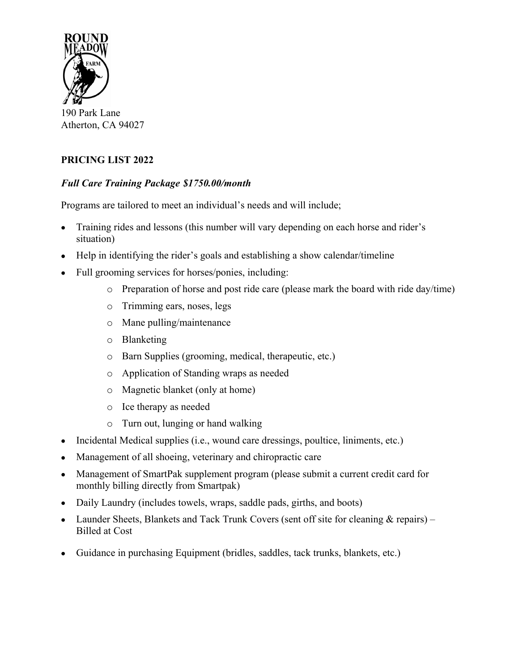

190 Park Lane Atherton, CA 94027

# **PRICING LIST 2022**

### *Full Care Training Package \$1750.00/month*

Programs are tailored to meet an individual's needs and will include;

- Training rides and lessons (this number will vary depending on each horse and rider's situation)
- Help in identifying the rider's goals and establishing a show calendar/timeline
- Full grooming services for horses/ponies, including:
	- o Preparation of horse and post ride care (please mark the board with ride day/time)
	- o Trimming ears, noses, legs
	- o Mane pulling/maintenance
	- o Blanketing
	- o Barn Supplies (grooming, medical, therapeutic, etc.)
	- o Application of Standing wraps as needed
	- o Magnetic blanket (only at home)
	- o Ice therapy as needed
	- o Turn out, lunging or hand walking
- Incidental Medical supplies (i.e., wound care dressings, poultice, liniments, etc.)
- Management of all shoeing, veterinary and chiropractic care
- Management of SmartPak supplement program (please submit a current credit card for monthly billing directly from Smartpak)
- Daily Laundry (includes towels, wraps, saddle pads, girths, and boots)
- Launder Sheets, Blankets and Tack Trunk Covers (sent off site for cleaning & repairs) Billed at Cost
- Guidance in purchasing Equipment (bridles, saddles, tack trunks, blankets, etc.)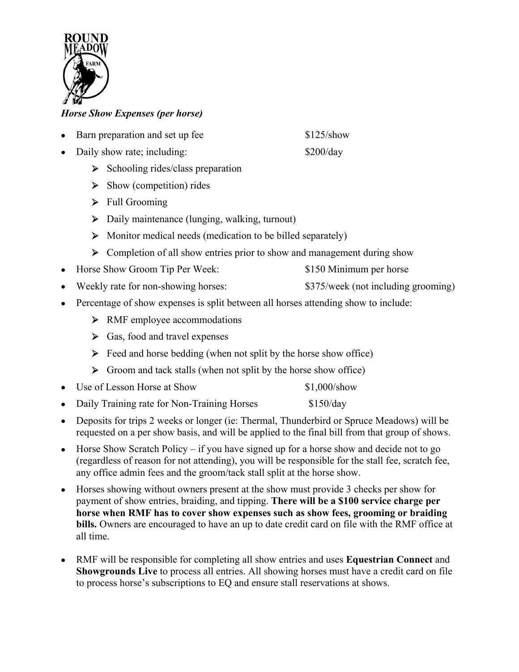

## *Horse Show Expenses (per horse)*

- Barn preparation and set up fee \$125/show
- Daily show rate; including: \$200/day
	- $\triangleright$  Schooling rides/class preparation
	- $\triangleright$  Show (competition) rides
	- > Full Grooming
	- Daily maintenance (lunging, walking, turnout)
	- Monitor medical needs (medication to be billed separately)
	- **EX** Completion of all show entries prior to show and management during show
- Horse Show Groom Tip Per Week: \$150 Minimum per horse
- Weekly rate for non-showing horses:  $$375/week$  (not including grooming)
- Percentage of show expenses is split between all horses attending show to include:
	- > RMF employee accommodations
	- $\triangleright$  Gas, food and travel expenses
	- $\triangleright$  Feed and horse bedding (when not split by the horse show office)
	- $\triangleright$  Groom and tack stalls (when not split by the horse show office)
- Use of Lesson Horse at Show \$1,000/show
- Daily Training rate for Non-Training Horses \$150/day
- Deposits for trips 2 weeks or longer (ie: Thermal, Thunderbird or Spruce Meadows) will be requested on a per show basis, and will be applied to the final bill from that group of shows.
- $\bullet$  Horse Show Scratch Policy if you have signed up for a horse show and decide not to go (regardless of reason for not attending), you will be responsible for the stall fee, scratch fee, any office admin fees and the groom/tack stall split at the horse show.
- Horses showing without owners present at the show must provide 3 checks per show for payment of show entries, braiding, and tipping. **There will be a \$100 service charge per horse when RMF has to cover show expenses such as show fees, grooming or braiding bills.** Owners are encouraged to have an up to date credit card on file with the RMF office at all time.
- RMF will be responsible for completing all show entries and uses **Equestrian Connect** and **Showgrounds Live** to process all entries. All showing horses must have a credit card on file to process horse's subscriptions to EQ and ensure stall reservations at shows.